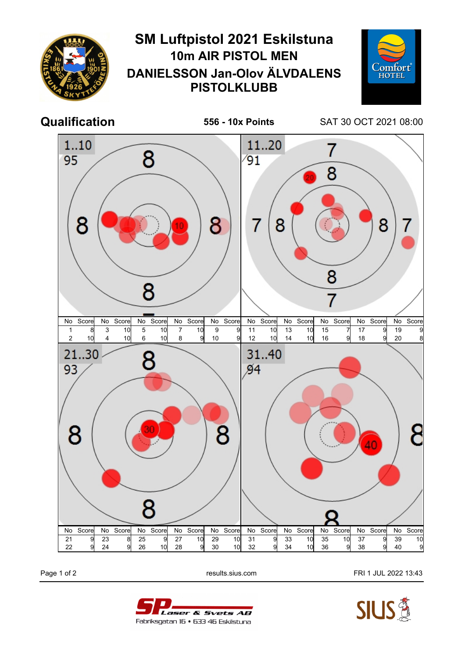

Page 1 of 2 **Page 1 of 2** results.sius.com **FRI 1 JUL 2022 13:43**